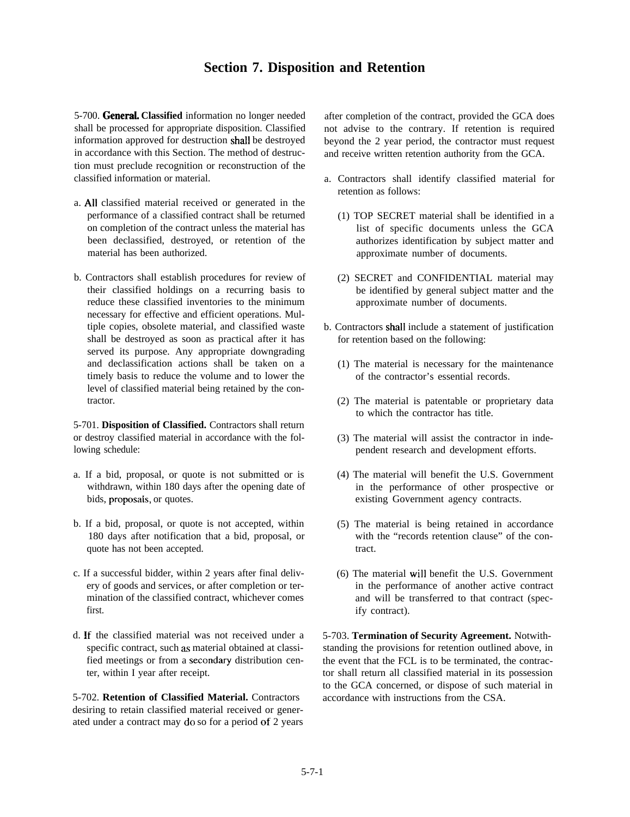## **Section 7. Disposition and Retention**

5-700. **GeneraL Classified** information no longer needed shall be processed for appropriate disposition. Classified information approved for destruction shall be destroyed in accordance with this Section. The method of destruction must preclude recognition or reconstruction of the classified information or material.

- a. AI1 classified material received or generated in the performance of a classified contract shall be returned on completion of the contract unless the material has been declassified, destroyed, or retention of the material has been authorized.
- b. Contractors shall establish procedures for review of their classified holdings on a recurring basis to reduce these classified inventories to the minimum necessary for effective and efficient operations. Multiple copies, obsolete material, and classified waste shall be destroyed as soon as practical after it has served its purpose. Any appropriate downgrading and declassification actions shall be taken on a timely basis to reduce the volume and to lower the level of classified material being retained by the contractor.

5-701. **Disposition of Classified.** Contractors shall return or destroy classified material in accordance with the following schedule:

- a. If a bid, proposal, or quote is not submitted or is withdrawn, within 180 days after the opening date of bids, proposais, or quotes.
- b. If a bid, proposal, or quote is not accepted, within 180 days after notification that a bid, proposal, or quote has not been accepted.
- c. If a successful bidder, within 2 years after final delivery of goods and services, or after completion or termination of the classified contract, whichever comes first.

d. If the classified material was not received under a specific contract, such as material obtained at classified meetings or from a secondary distribution center, within I year after receipt.

5-702. **Retention of Classified Material.** Contractors desiring to retain classified material received or generated under a contract may do so for a period of 2 years

after completion of the contract, provided the GCA does not advise to the contrary. If retention is required beyond the 2 year period, the contractor must request and receive written retention authority from the GCA.

- a. Contractors shall identify classified material for retention as follows:
	- (1) TOP SECRET material shall be identified in a list of specific documents unless the GCA authorizes identification by subject matter and approximate number of documents.
	- (2) SECRET and CONFIDENTIAL material may be identified by general subject matter and the approximate number of documents.
- b. Contractors shall include a statement of justification for retention based on the following:
	- (1) The material is necessary for the maintenance of the contractor's essential records.
	- (2) The material is patentable or proprietary data to which the contractor has title.
	- (3) The material will assist the contractor in independent research and development efforts.
	- (4) The material will benefit the U.S. Government in the performance of other prospective or existing Government agency contracts.
	- (5) The material is being retained in accordance with the "records retention clause" of the contract.
	- (6) The material will benefit the U.S. Government in the performance of another active contract and will be transferred to that contract (specify contract).

5-703. **Termination of Security Agreement.** Notwithstanding the provisions for retention outlined above, in the event that the FCL is to be terminated, the contractor shall return all classified material in its possession to the GCA concerned, or dispose of such material in accordance with instructions from the CSA.

5-7-1